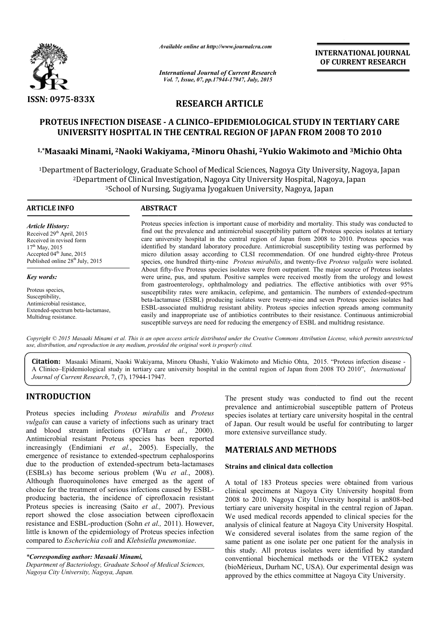

*Available online at http://www.journalcra.com*

*International Journal of Current Research Vol. 7, Issue, 07, pp.17944-17947, July, 2015*

**INTERNATIONAL INTERNATIONAL JOURNAL OF CURRENT RESEARCH** 

# **RESEARCH ARTICLE**

# **PROTEUS INFECTION DISEASE - A CLINICO–EPIDEMIOLOGICAL STUDY IN EPIDEMIOLOGICAL TERTIARY CARE UNIVERSITY HOSPITAL IN THE CENTRAL REGION OF JAPAN FROM OF JAPAN 2008 TO 2010**

# **1,\*Masaaki Minami, 2Naoki Wakiyama, Naoki 2Minoru Ohashi, 2Yukio Wakimoto Yukio Wakimoto and 3Michio Ohta**

<sup>1</sup>Department of Bacteriology, Graduate School of Medical Sciences, Nagoya City University, Nagoya, Japan<sup>2</sup>Department of Clinical Investigation, Nagoya City University Hospital, Nagoya, Japan <sup>2</sup>Department of Clinical Investigation, Nagoya City University Hospital, Nagoya, Japan 3School of Nursing, Sugiyama Jyogakuen University, Nagoya, Japan School ical Investigation, Nagoya City University Hospital, Nagoya, Japan<br>Nursing, Sugiyama Jyogakuen University, Nagoya, Japan

## **ARTICLE INFO ABSTRACT**

*Article History:* Received 29<sup>th</sup> April, 2015 Received in revised form  $17<sup>th</sup>$  May, 2015 Accepted 04<sup>th</sup> June, 2015 Published online  $28^{th}$  July, 2015

*Key words:*

Proteus species, Susceptibility, Antimicrobial resistance, Extended-spectrum beta-lactamase, Multidrug resistance.

Proteus species infection is important cause of morbidity and mortality. This study was conducted to find out the prevalence and antimicrobial susceptibility pattern of Proteus species isolates at tertiary Proteus species infection is important cause of morbidity and mortality. This study was conducted to find out the prevalence and antimicrobial susceptibility pattern of Proteus species isolates at tertiary care university identified by standard laboratory procedure. Antimicrobial susceptibility testing was performed by identified by standard laboratory procedure. Antimicrobial susceptibility testing was performed by micro dilution assay according to CLSI recommendation. Of one hundred eighty-three Proteus species, one hundred thirty-nine *Proteus mirabilis*, and twenty-five *Proteus vulgalis* were isolated. About fifty fifty-five Proteus species isolates were from outpatient. The major source of Proteus isolates were urine, pus, and sputum. Positive samples were received mostly from the urology and lowest from gastroenterology, ophthalmology and pediatrics. The effective antibiotics with over 95% About fifty-five Proteus species isolates were from outpatient. The major source of Proteus isolates were urine, pus, and sputum. Positive samples were received mostly from the urology and lowest from gastroenterology, oph beta-lactamase (ESBL) producing isolates were twenty-nine and seven Proteus species isolates had ESBL-associated multidrug resistant ability. Proteus species infection spreads among community easily and inappropriate use of antibiotics contributes to their resistance. Continuous antimicrobial susceptible surveys are need for reducing the emergency of ESBL and multidrug resistance. associated multidrug resistant ability. Proteus species infection spreads among and inappropriate use of antibiotics contributes to their resistance. Continuous a tible surveys are need for reducing the emergency of ESBL a **EXERCIS (CONTRIGE STATE)**<br> **INTERNATTONAL JOURNAL TERTIARY CARE THE STATE STATE STATE STATE STATE STATE STATE STATE STATE STATE STATE STATE STATE STATE STATE STATE STATE STATE STATE STATE STATE STATE STATE STATE STATE STA** 

Copyright © 2015 Masaaki Minami et al. This is an open access article distributed under the Creative Commons Attribution License, which permits unrestricted use, distribution, and reproduction in any medium, provided the original work is properly cited.

Citation: Masaaki Minami, Naoki Wakiyama, Minoru Ohashi, Yukio Wakimoto and Michio Ohta, 2015. "Proteus infection disease -A Clinico–Epidemiological study in tertiary care university hospital in the central region of Japan from 2008 TO 201 Japan from 2010", *International Journal of Current Research*, 7, (7), 17944-17947 17947.

## **INTRODUCTION**

Proteus species including *Proteus mirabilis* and *Proteus vulgalis* can cause a variety of infections such as urinary tract and blood stream infections (O'Hara *et al.*, 2000). Antimicrobial resistant Proteus species has been reported increasingly (Endimiani *et al.*, 2005). Especially, the emergence of resistance to extended-spectrum cephalosporins emergence of resistance to extended-spectrum cephalosporins<br>due to the production of extended-spectrum beta-lactamases (ESBLs) has become serious problem (Wu *et al.*, 2008). Although fluoroquinolones have emerged as the agent of choice for the treatment of serious infections caused by ESBLproducing bacteria, the incidence of ciprofloxacin resistant Proteus species is increasing (Saito *et al.,* 2007). Previous report showed the close association between ciprofloxacin resistance and ESBL-production (Sohn *et al.,* 2011). However, little is known of the epidemiology of Proteus species infection compared to *Escherichia coli* and *Klebsiella pneumoniae* .

#### *\*Corresponding author: Masaaki Minami,*

*Department of Bacteriology, Graduate School of Medical Sciences, Nagoya City University, Nagoya, Japan.*

The present study was conducted to find out the recent prevalence and antimicrobial susceptible pattern of Proteus prevalence and antimicrobial susceptible pattern of Proteus species isolates at tertiary care university hospital in the central of Japan. Our result would be useful for contributing to larger of Japan. Our result would be use<br>more extensive surveillance study.

# **MATERIALS AND METHODS METHODS**

## **Strains and clinical data collection**

A total of 183 Proteus species were obtained from various clinical specimens at Nagoya City University hospital from A total of 183 Proteus species were obtained from various clinical specimens at Nagoya City University hospital is an808-bed 2008 to 2010. Nagoya City University hospital is an808-bed tertiary care university hospital in the central region of Japan. We used medical records appended to clinical species for the analysis of clinical feature at Nagoya City University Hospital. We considered several isolates from the same region of the same patient as one isolate per one patient for the analysis in this study. All proteus isolates were identified by standard conventional biochemical methods or the VITEK2 system (bioMérieux, Durham NC, USA). Our experimental design was approved by the ethics committee at Nagoya City University. tertiary care university hospital in the central region of Japan.<br>We used medical records appended to clinical species for the<br>analysis of clinical feature at Nagoya City University Hospital.<br>We considered several isolates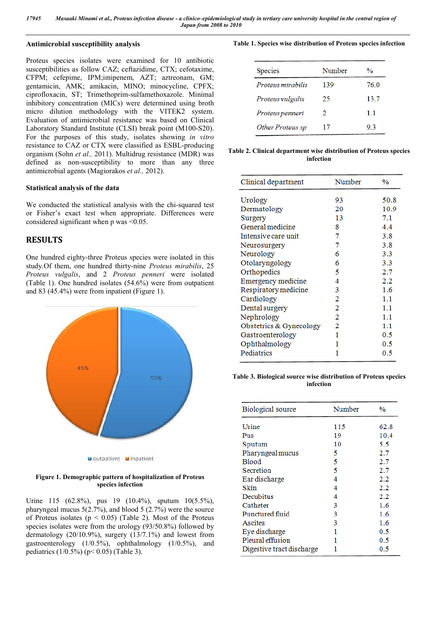## **Antimicrobial susceptibility analysis**

Proteus species isolates were examined for 10 antibiotic susceptibilities as follow CAZ; ceftazidime, CTX; cefotaxime, CFPM; cefepime, IPM;imipenem, AZT; aztreonam, GM; gentamicin, AMK; amikacin, MINO; minocycline, CPFX; ciprofloxacin, ST; Trimethoprim-sulfamethoxazole. Minimal inhibitory concentration (MICs) were determined using broth micro dilution methodology with the VITEK2 system. Evaluation of antimicrobial resistance was based on Clinical Laboratory Standard Institute (CLSI) break point (M100-S20). For the purposes of this study, isolates showing *in vitro* resistance to CAZ or CTX were classified as ESBL-producing organism (Sohn *et al.,* 2011). Multidrug resistance (MDR) was defined as non-susceptibility to more than any three antimicrobial agents (Magiorakos *et al.,* 2012).

#### **Statistical analysis of the data**

We conducted the statistical analysis with the chi-squared test or Fisher's exact test when appropriate. Differences were considered significant when p was <0.05.

## **RESULTS**

One hundred eighty-three Proteus species were isolated in this study.Of them, one hundred thirty-nine *Proteus mirabilis*, 25 *Proteus vulgalis*, and 2 *Proteus penneri* were isolated (Table 1). One hundred isolates (54.6%) were from outpatient and 83 (45.4%) were from inpatient (Figure 1).



#### **Figure 1. Demographic pattern of hospitalization of Proteus species infection**

Urine 115 (62.8%), pus 19 (10.4%), sputum 10(5.5%), pharyngeal mucus 5(2.7%), and blood 5 (2.7%) were the source of Proteus isolates ( $p < 0.05$ ) (Table 2). Most of the Proteus species isolates were from the urology (93/50.8%) followed by dermatology (20/10.9%), surgery (13/7.1%) and lowest from gastroenterology  $(1/0.5\%)$ , ophthalmology  $(1/0.5\%)$ , and pediatrics (1/0.5%) (p< 0.05) (Table 3).

#### **Table 1. Species wise distribution of Proteus species infection**

| <b>Species</b>    | Number                      | $\frac{0}{0}$ |
|-------------------|-----------------------------|---------------|
| Proteus mirabilis | 139                         | 76.0          |
| Proteus vulgalis  | 25                          | 13.7          |
| Proteus penneri   | $\mathcal{D}_{\mathcal{L}}$ | 11            |
| Other Proteus sp  | 17                          | 93            |

#### **Table 2. Clinical department wise distribution of Proteus species infection**

| Clinical department     | Number | $\frac{0}{0}$ |
|-------------------------|--------|---------------|
| Urology                 | 93     | 50.8          |
| Dermatology             | 20     | 10.9          |
| Surgery                 | 13     | 7.1           |
| General medicine        | 8      | 4.4           |
| Intensive care unit     | 7      | 3.8           |
| Neurosurgery            | 7      | 3.8           |
| Neurology               | 6      | 3.3           |
| Otolaryngology          | 6      | 3.3           |
| Orthopedics             | 5      | 2.7           |
| Emergency medicine      | 4      | 2.2           |
| Respiratory medicine    | 3      | 1.6           |
| Cardiology              | 2      | 1.1           |
| Dental surgery          | 2      | 1.1           |
| Nephrology              | 2      | 1.1           |
| Obstetrics & Gynecology | 2      | 1.1           |
| Gastroenterology        | 1      | 0.5           |
| Ophthalmology           | 1      | 0.5           |
| Pediatrics              | 1      | 0.5           |
|                         |        |               |

#### **Table 3. Biological source wise distribution of Proteus species infection**

| <b>Biological</b> source  | Number | $\frac{0}{0}$ |
|---------------------------|--------|---------------|
| Urine                     | 115    | 62.8          |
| Pus                       | 19     | 10.4          |
| Sputum                    | 10     | 5.5           |
| Pharyngeal mucus          | 5      | 2.7           |
| <b>Blood</b>              | 5      | 2.7           |
| Secretion                 | 5      | 2.7           |
| Ear discharge             | 4      | 2.2           |
| Skin                      | 4      | 2.2           |
| Decubitus                 | 4      | 2.2           |
| Catheter                  | 3      | 1.6           |
| Punctured fluid           | 3      | 1.6           |
| Ascites                   | 3      | 1.6           |
| Eye discharge             |        | 0.5           |
| Pleural effusion          |        | 0.5           |
| Digestive tract discharge |        | 0.5           |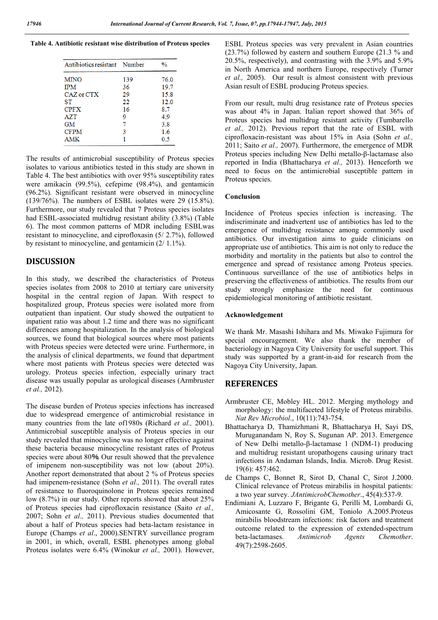**Table 4. Antibiotic resistant wise distribution of Proteus species**

| Antibiotics resistant Number |     | $\frac{0}{0}$ |
|------------------------------|-----|---------------|
| <b>MINO</b>                  | 139 | 76.0          |
| <b>IPM</b>                   | 36  | 19.7          |
| CAZ or CTX                   | 29  | 15.8          |
| ST                           | 22  | 12.0          |
| <b>CPFX</b>                  | 16  | 87            |
| <b>AZT</b>                   | 9   | 49            |
| GM                           | 7   | 3.8           |
| <b>CFPM</b>                  | 3   | 1.6           |
| <b>AMK</b>                   |     | 0.5           |

The results of antimicrobial susceptibility of Proteus species isolates to various antibiotics tested in this study are shown in Table 4. The best antibiotics with over 95% susceptibility rates were amikacin (99.5%), cefepime (98.4%), and gentamicin (96.2%). Significant resistant were observed in minocycline (139/76%). The numbers of ESBL isolates were 29 (15.8%). Furthermore, our study revealed that 7 Proteus species isolates had ESBL-associated multidrug resistant ability (3.8%) (Table 6). The most common patterns of MDR including ESBLwas resistant to minocycline, and ciprofloxasin (5/ 2.7%), followed by resistant to minocycline, and gentamicin (2/ 1.1%).

## **DISCUSSION**

In this study, we described the characteristics of Proteus species isolates from 2008 to 2010 at tertiary care university hospital in the central region of Japan. With respect to hospitalized group, Proteus species were isolated more from outpatient than inpatient. Our study showed the outpatient to inpatient ratio was about 1.2 time and there was no significant differences among hospitalization. In the analysis of biological sources, we found that biological sources where most patients with Proteus species were detected were urine. Furthermore, in the analysis of clinical departments, we found that department where most patients with Proteus species were detected was urology. Proteus species infection, especially urinary tract disease was usually popular as urological diseases (Armbruster *et al.,* 2012).

The disease burden of Proteus species infections has increased due to widespread emergence of antimicrobial resistance in many countries from the late of1980s (Richard *et al.,* 2001). Antimicrobial susceptible analysis of Proteus species in our study revealed that minocycline was no longer effective against these bacteria because minocycline resistant rates of Proteus species were about 80%. Our result showed that the prevalence of imipenem non-susceptibility was not low (about 20%). Another report demonstrated that about 2 % of Proteus species had imipenem-resistance (Sohn *et al.,* 2011). The overall rates of resistance to fluoroquinolone in Proteus species remained low (8.7%) in our study. Other reports showed that about 25% of Proteus species had ciprofloxacin resistance (Saito *et al.,* 2007; Sohn *et al.,* 2011). Previous studies documented that about a half of Proteus species had beta-lactam resistance in Europe (Champs *et al*., 2000).SENTRY surveillance program in 2001, in which, overall, ESBL phenotypes among global Proteus isolates were 6.4% (Winokur *et al.,* 2001). However,

ESBL Proteus species was very prevalent in Asian countries (23.7%) followed by eastern and southern Europe (21.3 % and 20.5%, respectively), and contrasting with the 3.9% and 5.9% in North America and northern Europe, respectively (Turner *et al.,* 2005). Our result is almost consistent with previous Asian result of ESBL producing Proteus species.

From our result, multi drug resistance rate of Proteus species was about 4% in Japan. Italian report showed that 36% of Proteus species had multidrug resistant activity (Tumbarello *et al.,* 2012). Previous report that the rate of ESBL with ciprofloxacin-resistant was about 15% in Asia (Sohn *et al.,* 2011; Saito *et al.,* 2007). Furthermore, the emergence of MDR Proteus species including New Delhi metallo-β-lactamase also reported in India (Bhattacharya *et al.,* 2013). Henceforth we need to focus on the antimicrobial susceptible pattern in Proteus species.

#### **Conclusion**

Incidence of Proteus species infection is increasing. The indiscriminate and inadvertent use of antibiotics has led to the emergence of multidrug resistance among commonly used antibiotics. Our investigation aims to guide clinicians on appropriate use of antibiotics. This aim is not only to reduce the morbidity and mortality in the patients but also to control the emergence and spread of resistance among Proteus species. Continuous surveillance of the use of antibiotics helps in preserving the effectiveness of antibiotics. The results from our study strongly emphasize the need for continuous epidemiological monitoring of antibiotic resistant.

#### **Acknowledgement**

We thank Mr. Masashi Ishihara and Ms. Miwako Fujimura for special encouragement. We also thank the member of bacteriology in Nagoya City University for useful support. This study was supported by a grant-in-aid for research from the Nagoya City University, Japan.

### **REFERENCES**

- Armbruster CE, Mobley HL. 2012. Merging mythology and morphology: the multifaceted lifestyle of Proteus mirabilis. *Nat Rev Microbiol*., 10(11):743-754.
- Bhattacharya D, Thamizhmani R, Bhattacharya H, Sayi DS, Muruganandam N, Roy S, Sugunan AP. 2013. Emergence of New Delhi metallo-β-lactamase 1 (NDM-1) producing and multidrug resistant uropathogens causing urinary tract infections in Andaman Islands, India. Microb. Drug Resist. 19(6): 457:462.
- de Champs C, Bonnet R, Sirot D, Chanal C, Sirot J.2000. Clinical relevance of Proteus mirabilis in hospital patients: a two year survey. *JAntimicrobChemother*., 45(4):537-9.
- Endimiani A, Luzzaro F, Brigante G, Perilli M, Lombardi G, Amicosante G, Rossolini GM, Toniolo A.2005.Proteus mirabilis bloodstream infections: risk factors and treatment outcome related to the expression of extended-spectrum beta-lactamases. *Antimicrob Agents Chemother*. 49(7):2598-2605.